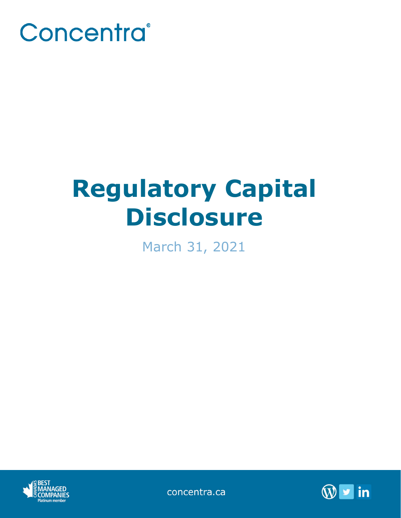

## **Regulatory Capital Disclosure**

March 31, 2021





concentra.ca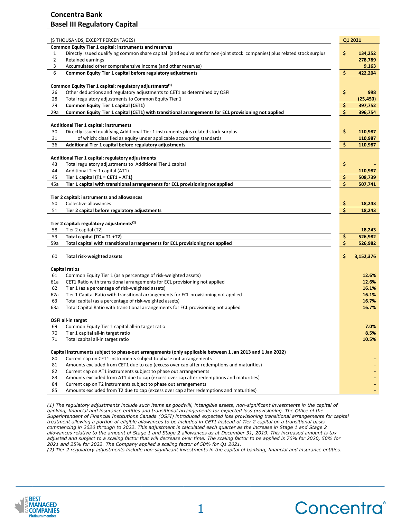## **Concentra Bank Basel III Regulatory Capital**

|          | (\$ THOUSANDS, EXCEPT PERCENTAGES)                                                                                                                         | Q1 2021 |           |
|----------|------------------------------------------------------------------------------------------------------------------------------------------------------------|---------|-----------|
|          | Common Equity Tier 1 capital: instruments and reserves                                                                                                     |         |           |
| 1        | Directly issued qualifying common share capital (and equivalent for non-joint stock companies) plus related stock surplus                                  | \$      | 134,252   |
| 2        | Retained earnings                                                                                                                                          |         | 278,789   |
| 3        | Accumulated other comprehensive income (and other reserves)                                                                                                |         | 9,163     |
| 6        | Common Equity Tier 1 capital before regulatory adjustments                                                                                                 | \$      | 422,204   |
|          |                                                                                                                                                            |         |           |
|          | Common Equity Tier 1 capital: regulatory adjustments <sup>(1)</sup>                                                                                        |         |           |
| 26       | Other deductions and regulatory adjustments to CET1 as determined by OSFI                                                                                  | \$      | 998       |
| 28       | Total regulatory adjustments to Common Equity Tier 1                                                                                                       |         | (25, 450) |
| 29       | Common Equity Tier 1 capital (CET1)                                                                                                                        | \$      | 397,752   |
| 29a      | Common Equity Tier 1 capital (CET1) with transitional arrangements for ECL provisioning not applied                                                        | \$      | 396,754   |
|          | <b>Additional Tier 1 capital: instruments</b>                                                                                                              |         |           |
| 30       | Directly issued qualifying Additional Tier 1 instruments plus related stock surplus                                                                        | \$      | 110,987   |
| 31       | of which: classified as equity under applicable accounting standards                                                                                       |         | 110,987   |
| 36       | Additional Tier 1 capital before regulatory adjustments                                                                                                    | \$      | 110,987   |
|          |                                                                                                                                                            |         |           |
|          | Additional Tier 1 capital: regulatory adjustments                                                                                                          |         |           |
| 43       | Total regulatory adjustments to Additional Tier 1 capital                                                                                                  | \$      |           |
| 44       | Additional Tier 1 capital (AT1)                                                                                                                            |         | 110,987   |
| 45       | Tier 1 capital (T1 = CET1 + AT1)                                                                                                                           | \$.     | 508,739   |
| 45a      | Tier 1 capital with transitional arrangements for ECL provisioning not applied                                                                             | Ś.      | 507,741   |
|          | Tier 2 capital: instruments and allowances                                                                                                                 |         |           |
| 50       | Collective allowances                                                                                                                                      | \$.     | 18,243    |
| 51       | Tier 2 capital before regulatory adjustments                                                                                                               | \$      | 18,243    |
|          |                                                                                                                                                            |         |           |
|          | Tier 2 capital: regulatory adjustments <sup>(2)</sup>                                                                                                      |         |           |
| 58       | Tier 2 capital (T2)                                                                                                                                        |         | 18,243    |
| 59       | Total capital (TC = T1 +T2)                                                                                                                                |         |           |
| 59a      |                                                                                                                                                            |         |           |
|          |                                                                                                                                                            |         | 526,982   |
|          | Total capital with transitional arrangements for ECL provisioning not applied                                                                              |         | 526,982   |
| 60       | <b>Total risk-weighted assets</b>                                                                                                                          | \$      | 3,152,376 |
|          |                                                                                                                                                            |         |           |
|          | Capital ratios                                                                                                                                             |         |           |
| 61       | Common Equity Tier 1 (as a percentage of risk-weighted assets)                                                                                             |         | 12.6%     |
| 61a      | CET1 Ratio with transitional arrangements for ECL provisioning not applied                                                                                 |         | 12.6%     |
| 62       | Tier 1 (as a percentage of risk-weighted assets)                                                                                                           |         | 16.1%     |
| 62a      | Tier 1 Capital Ratio with transitional arrangements for ECL provisioning not applied                                                                       |         | 16.1%     |
| 63       | Total capital (as a percentage of risk-weighted assets)                                                                                                    |         | 16.7%     |
| 63a      | Total Capital Ratio with transitional arrangements for ECL provisioning not applied                                                                        |         | 16.7%     |
|          | OSFI all-in target                                                                                                                                         |         |           |
| 69       | Common Equity Tier 1 capital all-in target ratio                                                                                                           |         | 7.0%      |
| 70       | Tier 1 capital all-in target ratio                                                                                                                         |         | 8.5%      |
| 71       | Total capital all-in target ratio                                                                                                                          |         | 10.5%     |
|          |                                                                                                                                                            |         |           |
|          | Capital instruments subject to phase-out arrangements (only applicable between 1 Jan 2013 and 1 Jan 2022)                                                  |         |           |
| 80       | Current cap on CET1 instruments subject to phase out arrangements                                                                                          |         |           |
| 81       | Amounts excluded from CET1 due to cap (excess over cap after redemptions and maturities)                                                                   |         |           |
| 82       | Current cap on AT1 instruments subject to phase out arrangements                                                                                           |         |           |
| 83<br>84 | Amounts excluded from AT1 due to cap (excess over cap after redemptions and maturities)<br>Current cap on T2 instruments subject to phase out arrangements |         |           |

*(1) The regulatory adjustments include such items as goodwill, intangible assets, non-significant investments in the capital of banking, financial and insurance entities and transitional arrangements for expected loss provisioning. The Office of the Superintendent of Financial Institutions Canada (OSFI) introduced expected loss provisioning transitional arrangements for capital treatment allowing a portion of eligible allowances to be included in CET1 instead of Tier 2 capital on a transitional basis commencing in 2020 through to 2022. This adjustment is calculated each quarter as the increase in Stage 1 and Stage 2 allowances relative to the amount of Stage 1 and Stage 2 allowances as at December 31, 2019. This increased amount is tax adjusted and subject to a scaling factor that will decrease over time. The scaling factor to be applied is 70% for 2020, 50% for 2021 and 25% for 2022. The Company applied a scaling factor of 50% for Q1 2021.* 

*(2) Tier 2 regulatory adjustments include non-significant investments in the capital of banking, financial and insurance entities.*

**\_\_\_\_\_\_\_\_\_\_\_\_\_\_\_\_\_\_\_\_\_\_\_\_\_\_\_\_\_\_\_\_\_\_\_\_\_\_\_\_\_\_\_\_**

1



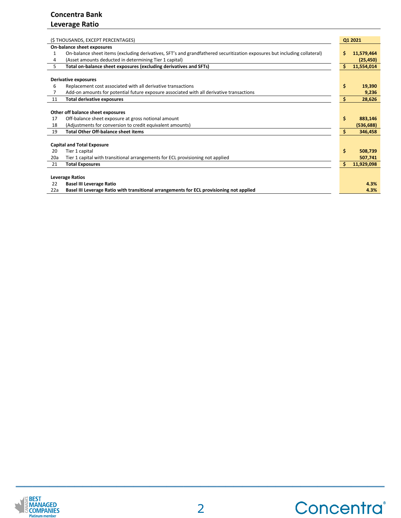| (\$THOUSANDS, EXCEPT PERCENTAGES)                                                                                              |                 |  |  |
|--------------------------------------------------------------------------------------------------------------------------------|-----------------|--|--|
| On-balance sheet exposures                                                                                                     |                 |  |  |
| On-balance sheet items (excluding derivatives, SFT's and grandfathered securitization exposures but including collateral)<br>1 | 11,579,464<br>Ś |  |  |
| (Asset amounts deducted in determining Tier 1 capital)<br>4                                                                    | (25, 450)       |  |  |
| 5.<br>Total on-balance sheet exposures (excluding derivatives and SFTs)                                                        | Ś<br>11,554,014 |  |  |
|                                                                                                                                |                 |  |  |
| <b>Derivative exposures</b>                                                                                                    |                 |  |  |
| 6<br>Replacement cost associated with all derivative transactions                                                              | \$<br>19,390    |  |  |
| Add-on amounts for potential future exposure associated with all derivative transactions                                       | 9,236           |  |  |
| <b>Total derivative exposures</b><br>11                                                                                        | \$<br>28,626    |  |  |
|                                                                                                                                |                 |  |  |
| Other off balance sheet exposures                                                                                              |                 |  |  |
| Off-balance sheet exposure at gross notional amount<br>17                                                                      | \$<br>883,146   |  |  |
| (Adjustments for conversion to credit equivalent amounts)<br>18                                                                | (536, 688)      |  |  |
| <b>Total Other Off-balance sheet items</b><br>19                                                                               | 346,458         |  |  |
|                                                                                                                                |                 |  |  |
| <b>Capital and Total Exposure</b>                                                                                              |                 |  |  |
| 20<br>Tier 1 capital                                                                                                           | \$<br>508,739   |  |  |
| Tier 1 capital with transitional arrangements for ECL provisioning not applied<br>20a                                          | 507,741         |  |  |
| <b>Total Exposures</b><br>21                                                                                                   | 11,929,098      |  |  |
|                                                                                                                                |                 |  |  |
| <b>Leverage Ratios</b>                                                                                                         |                 |  |  |
| 22<br><b>Basel III Leverage Ratio</b>                                                                                          | 4.3%            |  |  |
| Basel III Leverage Ratio with transitional arrangements for ECL provisioning not applied<br>22a                                | 4.3%            |  |  |

Concentra®

**\_\_\_\_\_\_\_\_\_\_\_\_\_\_\_\_\_\_\_\_\_\_\_\_\_\_\_\_\_\_\_\_\_\_\_\_\_\_\_\_\_\_\_\_**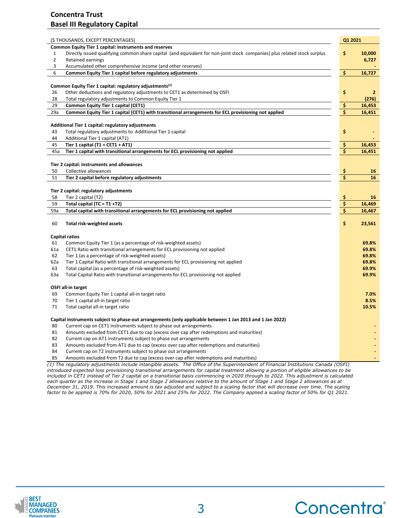## **Concentra Trust Basel III Regulatory Capital**

| Common Equity Tier 1 capital: instruments and reserves<br>\$<br>Directly issued qualifying common share capital (and equivalent for non-joint stock companies) plus related stock surplus<br>$\mathbf{1}$<br>$\mathbf{2}$<br>Retained earnings<br>3<br>Accumulated other comprehensive income (and other reserves)<br>Common Equity Tier 1 capital before regulatory adjustments<br>\$<br>6<br>Common Equity Tier 1 capital: regulatory adjustments <sup>(1)</sup><br>\$<br>26<br>Other deductions and regulatory adjustments to CET1 as determined by OSFI<br>28<br>Total regulatory adjustments to Common Equity Tier 1<br>\$<br>29<br>Common Equity Tier 1 capital (CET1)<br>16,453<br>\$<br>Common Equity Tier 1 capital (CET1) with transitional arrangements for ECL provisioning not applied<br>Additional Tier 1 capital: regulatory adjustments<br>\$<br>Total regulatory adjustments to Additional Tier 1 capital<br>Additional Tier 1 capital (AT1)<br>\$<br>Tier 1 capital (T1 = CET1 + AT1)<br>\$<br>Tier 1 capital with transitional arrangements for ECL provisioning not applied<br>Tier 2 capital: instruments and allowances<br>\$<br>50<br>Collective allowances<br>\$<br>51<br>Tier 2 capital before regulatory adjustments<br>Tier 2 capital: regulatory adjustments<br>\$<br>Tier 2 capital (T2)<br>\$<br>Total capital $(TC = T1 + T2)$<br>\$<br>Total capital with transitional arrangements for ECL provisioning not applied<br>\$<br>60<br><b>Total risk-weighted assets</b><br>23,561<br><b>Capital ratios</b><br>Common Equity Tier 1 (as a percentage of risk-weighted assets)<br>CET1 Ratio with transitional arrangements for ECL provisioning not applied<br>Tier 1 (as a percentage of risk-weighted assets)<br>Tier 1 Capital Ratio with transitional arrangements for ECL provisioning not applied<br>Total capital (as a percentage of risk-weighted assets)<br>Total Capital Ratio with transitional arrangements for ECL provisioning not applied<br>OSFI all-in target<br>Common Equity Tier 1 capital all-in target ratio<br>Tier 1 capital all-in target ratio<br>Total capital all-in target ratio<br>Capital instruments subject to phase-out arrangements (only applicable between 1 Jan 2013 and 1 Jan 2022)<br>80<br>Current cap on CET1 instruments subject to phase out arrangements<br>81<br>Amounts excluded from CET1 due to cap (excess over cap after redemptions and maturities)<br>Current cap on AT1 instruments subject to phase out arrangements<br>Amounts excluded from AT1 due to cap (excess over cap after redemptions and maturities)<br>84<br>Current cap on T2 instruments subject to phase out arrangements<br>85<br>Amounts excluded from T2 due to cap (excess over cap after redemptions and maturities) |     | (\$ THOUSANDS, EXCEPT PERCENTAGES) | Q1 2021 |                |
|--------------------------------------------------------------------------------------------------------------------------------------------------------------------------------------------------------------------------------------------------------------------------------------------------------------------------------------------------------------------------------------------------------------------------------------------------------------------------------------------------------------------------------------------------------------------------------------------------------------------------------------------------------------------------------------------------------------------------------------------------------------------------------------------------------------------------------------------------------------------------------------------------------------------------------------------------------------------------------------------------------------------------------------------------------------------------------------------------------------------------------------------------------------------------------------------------------------------------------------------------------------------------------------------------------------------------------------------------------------------------------------------------------------------------------------------------------------------------------------------------------------------------------------------------------------------------------------------------------------------------------------------------------------------------------------------------------------------------------------------------------------------------------------------------------------------------------------------------------------------------------------------------------------------------------------------------------------------------------------------------------------------------------------------------------------------------------------------------------------------------------------------------------------------------------------------------------------------------------------------------------------------------------------------------------------------------------------------------------------------------------------------------------------------------------------------------------------------------------------------------------------------------------------------------------------------------------------------------------------------------------------------------------------------------------------------------------------------------------------------------------------------------------|-----|------------------------------------|---------|----------------|
|                                                                                                                                                                                                                                                                                                                                                                                                                                                                                                                                                                                                                                                                                                                                                                                                                                                                                                                                                                                                                                                                                                                                                                                                                                                                                                                                                                                                                                                                                                                                                                                                                                                                                                                                                                                                                                                                                                                                                                                                                                                                                                                                                                                                                                                                                                                                                                                                                                                                                                                                                                                                                                                                                                                                                                                |     |                                    |         |                |
|                                                                                                                                                                                                                                                                                                                                                                                                                                                                                                                                                                                                                                                                                                                                                                                                                                                                                                                                                                                                                                                                                                                                                                                                                                                                                                                                                                                                                                                                                                                                                                                                                                                                                                                                                                                                                                                                                                                                                                                                                                                                                                                                                                                                                                                                                                                                                                                                                                                                                                                                                                                                                                                                                                                                                                                |     |                                    |         | 10,000         |
|                                                                                                                                                                                                                                                                                                                                                                                                                                                                                                                                                                                                                                                                                                                                                                                                                                                                                                                                                                                                                                                                                                                                                                                                                                                                                                                                                                                                                                                                                                                                                                                                                                                                                                                                                                                                                                                                                                                                                                                                                                                                                                                                                                                                                                                                                                                                                                                                                                                                                                                                                                                                                                                                                                                                                                                |     |                                    |         | 6,727          |
|                                                                                                                                                                                                                                                                                                                                                                                                                                                                                                                                                                                                                                                                                                                                                                                                                                                                                                                                                                                                                                                                                                                                                                                                                                                                                                                                                                                                                                                                                                                                                                                                                                                                                                                                                                                                                                                                                                                                                                                                                                                                                                                                                                                                                                                                                                                                                                                                                                                                                                                                                                                                                                                                                                                                                                                |     |                                    |         |                |
|                                                                                                                                                                                                                                                                                                                                                                                                                                                                                                                                                                                                                                                                                                                                                                                                                                                                                                                                                                                                                                                                                                                                                                                                                                                                                                                                                                                                                                                                                                                                                                                                                                                                                                                                                                                                                                                                                                                                                                                                                                                                                                                                                                                                                                                                                                                                                                                                                                                                                                                                                                                                                                                                                                                                                                                |     |                                    |         | 16,727         |
|                                                                                                                                                                                                                                                                                                                                                                                                                                                                                                                                                                                                                                                                                                                                                                                                                                                                                                                                                                                                                                                                                                                                                                                                                                                                                                                                                                                                                                                                                                                                                                                                                                                                                                                                                                                                                                                                                                                                                                                                                                                                                                                                                                                                                                                                                                                                                                                                                                                                                                                                                                                                                                                                                                                                                                                |     |                                    |         |                |
|                                                                                                                                                                                                                                                                                                                                                                                                                                                                                                                                                                                                                                                                                                                                                                                                                                                                                                                                                                                                                                                                                                                                                                                                                                                                                                                                                                                                                                                                                                                                                                                                                                                                                                                                                                                                                                                                                                                                                                                                                                                                                                                                                                                                                                                                                                                                                                                                                                                                                                                                                                                                                                                                                                                                                                                |     |                                    |         | $\overline{2}$ |
|                                                                                                                                                                                                                                                                                                                                                                                                                                                                                                                                                                                                                                                                                                                                                                                                                                                                                                                                                                                                                                                                                                                                                                                                                                                                                                                                                                                                                                                                                                                                                                                                                                                                                                                                                                                                                                                                                                                                                                                                                                                                                                                                                                                                                                                                                                                                                                                                                                                                                                                                                                                                                                                                                                                                                                                |     |                                    |         | (276)          |
|                                                                                                                                                                                                                                                                                                                                                                                                                                                                                                                                                                                                                                                                                                                                                                                                                                                                                                                                                                                                                                                                                                                                                                                                                                                                                                                                                                                                                                                                                                                                                                                                                                                                                                                                                                                                                                                                                                                                                                                                                                                                                                                                                                                                                                                                                                                                                                                                                                                                                                                                                                                                                                                                                                                                                                                |     |                                    |         |                |
|                                                                                                                                                                                                                                                                                                                                                                                                                                                                                                                                                                                                                                                                                                                                                                                                                                                                                                                                                                                                                                                                                                                                                                                                                                                                                                                                                                                                                                                                                                                                                                                                                                                                                                                                                                                                                                                                                                                                                                                                                                                                                                                                                                                                                                                                                                                                                                                                                                                                                                                                                                                                                                                                                                                                                                                | 29a |                                    |         | 16,451         |
|                                                                                                                                                                                                                                                                                                                                                                                                                                                                                                                                                                                                                                                                                                                                                                                                                                                                                                                                                                                                                                                                                                                                                                                                                                                                                                                                                                                                                                                                                                                                                                                                                                                                                                                                                                                                                                                                                                                                                                                                                                                                                                                                                                                                                                                                                                                                                                                                                                                                                                                                                                                                                                                                                                                                                                                |     |                                    |         |                |
|                                                                                                                                                                                                                                                                                                                                                                                                                                                                                                                                                                                                                                                                                                                                                                                                                                                                                                                                                                                                                                                                                                                                                                                                                                                                                                                                                                                                                                                                                                                                                                                                                                                                                                                                                                                                                                                                                                                                                                                                                                                                                                                                                                                                                                                                                                                                                                                                                                                                                                                                                                                                                                                                                                                                                                                |     |                                    |         |                |
|                                                                                                                                                                                                                                                                                                                                                                                                                                                                                                                                                                                                                                                                                                                                                                                                                                                                                                                                                                                                                                                                                                                                                                                                                                                                                                                                                                                                                                                                                                                                                                                                                                                                                                                                                                                                                                                                                                                                                                                                                                                                                                                                                                                                                                                                                                                                                                                                                                                                                                                                                                                                                                                                                                                                                                                | 43  |                                    |         |                |
|                                                                                                                                                                                                                                                                                                                                                                                                                                                                                                                                                                                                                                                                                                                                                                                                                                                                                                                                                                                                                                                                                                                                                                                                                                                                                                                                                                                                                                                                                                                                                                                                                                                                                                                                                                                                                                                                                                                                                                                                                                                                                                                                                                                                                                                                                                                                                                                                                                                                                                                                                                                                                                                                                                                                                                                | 44  |                                    |         |                |
|                                                                                                                                                                                                                                                                                                                                                                                                                                                                                                                                                                                                                                                                                                                                                                                                                                                                                                                                                                                                                                                                                                                                                                                                                                                                                                                                                                                                                                                                                                                                                                                                                                                                                                                                                                                                                                                                                                                                                                                                                                                                                                                                                                                                                                                                                                                                                                                                                                                                                                                                                                                                                                                                                                                                                                                | 45  |                                    |         | 16,453         |
|                                                                                                                                                                                                                                                                                                                                                                                                                                                                                                                                                                                                                                                                                                                                                                                                                                                                                                                                                                                                                                                                                                                                                                                                                                                                                                                                                                                                                                                                                                                                                                                                                                                                                                                                                                                                                                                                                                                                                                                                                                                                                                                                                                                                                                                                                                                                                                                                                                                                                                                                                                                                                                                                                                                                                                                | 45a |                                    |         | 16,451         |
|                                                                                                                                                                                                                                                                                                                                                                                                                                                                                                                                                                                                                                                                                                                                                                                                                                                                                                                                                                                                                                                                                                                                                                                                                                                                                                                                                                                                                                                                                                                                                                                                                                                                                                                                                                                                                                                                                                                                                                                                                                                                                                                                                                                                                                                                                                                                                                                                                                                                                                                                                                                                                                                                                                                                                                                |     |                                    |         |                |
|                                                                                                                                                                                                                                                                                                                                                                                                                                                                                                                                                                                                                                                                                                                                                                                                                                                                                                                                                                                                                                                                                                                                                                                                                                                                                                                                                                                                                                                                                                                                                                                                                                                                                                                                                                                                                                                                                                                                                                                                                                                                                                                                                                                                                                                                                                                                                                                                                                                                                                                                                                                                                                                                                                                                                                                |     |                                    |         | 16             |
|                                                                                                                                                                                                                                                                                                                                                                                                                                                                                                                                                                                                                                                                                                                                                                                                                                                                                                                                                                                                                                                                                                                                                                                                                                                                                                                                                                                                                                                                                                                                                                                                                                                                                                                                                                                                                                                                                                                                                                                                                                                                                                                                                                                                                                                                                                                                                                                                                                                                                                                                                                                                                                                                                                                                                                                |     |                                    |         | 16             |
|                                                                                                                                                                                                                                                                                                                                                                                                                                                                                                                                                                                                                                                                                                                                                                                                                                                                                                                                                                                                                                                                                                                                                                                                                                                                                                                                                                                                                                                                                                                                                                                                                                                                                                                                                                                                                                                                                                                                                                                                                                                                                                                                                                                                                                                                                                                                                                                                                                                                                                                                                                                                                                                                                                                                                                                |     |                                    |         |                |
|                                                                                                                                                                                                                                                                                                                                                                                                                                                                                                                                                                                                                                                                                                                                                                                                                                                                                                                                                                                                                                                                                                                                                                                                                                                                                                                                                                                                                                                                                                                                                                                                                                                                                                                                                                                                                                                                                                                                                                                                                                                                                                                                                                                                                                                                                                                                                                                                                                                                                                                                                                                                                                                                                                                                                                                |     |                                    |         |                |
|                                                                                                                                                                                                                                                                                                                                                                                                                                                                                                                                                                                                                                                                                                                                                                                                                                                                                                                                                                                                                                                                                                                                                                                                                                                                                                                                                                                                                                                                                                                                                                                                                                                                                                                                                                                                                                                                                                                                                                                                                                                                                                                                                                                                                                                                                                                                                                                                                                                                                                                                                                                                                                                                                                                                                                                | 58  |                                    |         | 16             |
|                                                                                                                                                                                                                                                                                                                                                                                                                                                                                                                                                                                                                                                                                                                                                                                                                                                                                                                                                                                                                                                                                                                                                                                                                                                                                                                                                                                                                                                                                                                                                                                                                                                                                                                                                                                                                                                                                                                                                                                                                                                                                                                                                                                                                                                                                                                                                                                                                                                                                                                                                                                                                                                                                                                                                                                | 59  |                                    |         | 16,469         |
|                                                                                                                                                                                                                                                                                                                                                                                                                                                                                                                                                                                                                                                                                                                                                                                                                                                                                                                                                                                                                                                                                                                                                                                                                                                                                                                                                                                                                                                                                                                                                                                                                                                                                                                                                                                                                                                                                                                                                                                                                                                                                                                                                                                                                                                                                                                                                                                                                                                                                                                                                                                                                                                                                                                                                                                | 59a |                                    |         | 16,467         |
|                                                                                                                                                                                                                                                                                                                                                                                                                                                                                                                                                                                                                                                                                                                                                                                                                                                                                                                                                                                                                                                                                                                                                                                                                                                                                                                                                                                                                                                                                                                                                                                                                                                                                                                                                                                                                                                                                                                                                                                                                                                                                                                                                                                                                                                                                                                                                                                                                                                                                                                                                                                                                                                                                                                                                                                |     |                                    |         |                |
|                                                                                                                                                                                                                                                                                                                                                                                                                                                                                                                                                                                                                                                                                                                                                                                                                                                                                                                                                                                                                                                                                                                                                                                                                                                                                                                                                                                                                                                                                                                                                                                                                                                                                                                                                                                                                                                                                                                                                                                                                                                                                                                                                                                                                                                                                                                                                                                                                                                                                                                                                                                                                                                                                                                                                                                |     |                                    |         |                |
|                                                                                                                                                                                                                                                                                                                                                                                                                                                                                                                                                                                                                                                                                                                                                                                                                                                                                                                                                                                                                                                                                                                                                                                                                                                                                                                                                                                                                                                                                                                                                                                                                                                                                                                                                                                                                                                                                                                                                                                                                                                                                                                                                                                                                                                                                                                                                                                                                                                                                                                                                                                                                                                                                                                                                                                |     |                                    |         |                |
|                                                                                                                                                                                                                                                                                                                                                                                                                                                                                                                                                                                                                                                                                                                                                                                                                                                                                                                                                                                                                                                                                                                                                                                                                                                                                                                                                                                                                                                                                                                                                                                                                                                                                                                                                                                                                                                                                                                                                                                                                                                                                                                                                                                                                                                                                                                                                                                                                                                                                                                                                                                                                                                                                                                                                                                | 61  |                                    |         | 69.8%          |
|                                                                                                                                                                                                                                                                                                                                                                                                                                                                                                                                                                                                                                                                                                                                                                                                                                                                                                                                                                                                                                                                                                                                                                                                                                                                                                                                                                                                                                                                                                                                                                                                                                                                                                                                                                                                                                                                                                                                                                                                                                                                                                                                                                                                                                                                                                                                                                                                                                                                                                                                                                                                                                                                                                                                                                                | 61a |                                    |         | 69.8%          |
|                                                                                                                                                                                                                                                                                                                                                                                                                                                                                                                                                                                                                                                                                                                                                                                                                                                                                                                                                                                                                                                                                                                                                                                                                                                                                                                                                                                                                                                                                                                                                                                                                                                                                                                                                                                                                                                                                                                                                                                                                                                                                                                                                                                                                                                                                                                                                                                                                                                                                                                                                                                                                                                                                                                                                                                | 62  |                                    |         | 69.8%          |
|                                                                                                                                                                                                                                                                                                                                                                                                                                                                                                                                                                                                                                                                                                                                                                                                                                                                                                                                                                                                                                                                                                                                                                                                                                                                                                                                                                                                                                                                                                                                                                                                                                                                                                                                                                                                                                                                                                                                                                                                                                                                                                                                                                                                                                                                                                                                                                                                                                                                                                                                                                                                                                                                                                                                                                                | 62a |                                    |         | 69.8%          |
|                                                                                                                                                                                                                                                                                                                                                                                                                                                                                                                                                                                                                                                                                                                                                                                                                                                                                                                                                                                                                                                                                                                                                                                                                                                                                                                                                                                                                                                                                                                                                                                                                                                                                                                                                                                                                                                                                                                                                                                                                                                                                                                                                                                                                                                                                                                                                                                                                                                                                                                                                                                                                                                                                                                                                                                | 63  |                                    |         | 69.9%          |
|                                                                                                                                                                                                                                                                                                                                                                                                                                                                                                                                                                                                                                                                                                                                                                                                                                                                                                                                                                                                                                                                                                                                                                                                                                                                                                                                                                                                                                                                                                                                                                                                                                                                                                                                                                                                                                                                                                                                                                                                                                                                                                                                                                                                                                                                                                                                                                                                                                                                                                                                                                                                                                                                                                                                                                                | 63a |                                    |         | 69.9%          |
|                                                                                                                                                                                                                                                                                                                                                                                                                                                                                                                                                                                                                                                                                                                                                                                                                                                                                                                                                                                                                                                                                                                                                                                                                                                                                                                                                                                                                                                                                                                                                                                                                                                                                                                                                                                                                                                                                                                                                                                                                                                                                                                                                                                                                                                                                                                                                                                                                                                                                                                                                                                                                                                                                                                                                                                |     |                                    |         |                |
|                                                                                                                                                                                                                                                                                                                                                                                                                                                                                                                                                                                                                                                                                                                                                                                                                                                                                                                                                                                                                                                                                                                                                                                                                                                                                                                                                                                                                                                                                                                                                                                                                                                                                                                                                                                                                                                                                                                                                                                                                                                                                                                                                                                                                                                                                                                                                                                                                                                                                                                                                                                                                                                                                                                                                                                | 69  |                                    |         | 7.0%           |
|                                                                                                                                                                                                                                                                                                                                                                                                                                                                                                                                                                                                                                                                                                                                                                                                                                                                                                                                                                                                                                                                                                                                                                                                                                                                                                                                                                                                                                                                                                                                                                                                                                                                                                                                                                                                                                                                                                                                                                                                                                                                                                                                                                                                                                                                                                                                                                                                                                                                                                                                                                                                                                                                                                                                                                                | 70  |                                    |         | 8.5%           |
|                                                                                                                                                                                                                                                                                                                                                                                                                                                                                                                                                                                                                                                                                                                                                                                                                                                                                                                                                                                                                                                                                                                                                                                                                                                                                                                                                                                                                                                                                                                                                                                                                                                                                                                                                                                                                                                                                                                                                                                                                                                                                                                                                                                                                                                                                                                                                                                                                                                                                                                                                                                                                                                                                                                                                                                | 71  |                                    |         | 10.5%          |
|                                                                                                                                                                                                                                                                                                                                                                                                                                                                                                                                                                                                                                                                                                                                                                                                                                                                                                                                                                                                                                                                                                                                                                                                                                                                                                                                                                                                                                                                                                                                                                                                                                                                                                                                                                                                                                                                                                                                                                                                                                                                                                                                                                                                                                                                                                                                                                                                                                                                                                                                                                                                                                                                                                                                                                                |     |                                    |         |                |
|                                                                                                                                                                                                                                                                                                                                                                                                                                                                                                                                                                                                                                                                                                                                                                                                                                                                                                                                                                                                                                                                                                                                                                                                                                                                                                                                                                                                                                                                                                                                                                                                                                                                                                                                                                                                                                                                                                                                                                                                                                                                                                                                                                                                                                                                                                                                                                                                                                                                                                                                                                                                                                                                                                                                                                                |     |                                    |         |                |
|                                                                                                                                                                                                                                                                                                                                                                                                                                                                                                                                                                                                                                                                                                                                                                                                                                                                                                                                                                                                                                                                                                                                                                                                                                                                                                                                                                                                                                                                                                                                                                                                                                                                                                                                                                                                                                                                                                                                                                                                                                                                                                                                                                                                                                                                                                                                                                                                                                                                                                                                                                                                                                                                                                                                                                                |     |                                    |         |                |
|                                                                                                                                                                                                                                                                                                                                                                                                                                                                                                                                                                                                                                                                                                                                                                                                                                                                                                                                                                                                                                                                                                                                                                                                                                                                                                                                                                                                                                                                                                                                                                                                                                                                                                                                                                                                                                                                                                                                                                                                                                                                                                                                                                                                                                                                                                                                                                                                                                                                                                                                                                                                                                                                                                                                                                                |     |                                    |         |                |
|                                                                                                                                                                                                                                                                                                                                                                                                                                                                                                                                                                                                                                                                                                                                                                                                                                                                                                                                                                                                                                                                                                                                                                                                                                                                                                                                                                                                                                                                                                                                                                                                                                                                                                                                                                                                                                                                                                                                                                                                                                                                                                                                                                                                                                                                                                                                                                                                                                                                                                                                                                                                                                                                                                                                                                                |     |                                    |         |                |
|                                                                                                                                                                                                                                                                                                                                                                                                                                                                                                                                                                                                                                                                                                                                                                                                                                                                                                                                                                                                                                                                                                                                                                                                                                                                                                                                                                                                                                                                                                                                                                                                                                                                                                                                                                                                                                                                                                                                                                                                                                                                                                                                                                                                                                                                                                                                                                                                                                                                                                                                                                                                                                                                                                                                                                                | 82  |                                    |         |                |
|                                                                                                                                                                                                                                                                                                                                                                                                                                                                                                                                                                                                                                                                                                                                                                                                                                                                                                                                                                                                                                                                                                                                                                                                                                                                                                                                                                                                                                                                                                                                                                                                                                                                                                                                                                                                                                                                                                                                                                                                                                                                                                                                                                                                                                                                                                                                                                                                                                                                                                                                                                                                                                                                                                                                                                                | 83  |                                    |         |                |

*(1) The regulatory adjustments include intangible assets. The Office of the Superintendent of Financial Institutions Canada (OSFI) introduced expected loss provisioning transitional arrangements for capital treatment allowing a portion of eligible allowances to be included in CET1 instead of Tier 2 capital on a transitional basis commencing in 2020 through to 2022. This adjustment is calculated each quarter as the increase in Stage 1 and Stage 2 allowances relative to the amount of Stage 1 and Stage 2 allowances as at December 31, 2019. This increased amount is tax adjusted and subject to a scaling factor that will decrease over time. The scaling factor to be applied is 70% for 2020, 50% for 2021 and 25% for 2022. The Company applied a scaling factor of 50% for Q1 2021.* 



Concentra®

**\_\_\_\_\_\_\_\_\_\_\_\_\_\_\_\_\_\_\_\_\_\_\_\_\_\_\_\_\_\_\_\_\_\_\_\_\_\_\_\_\_\_\_\_**